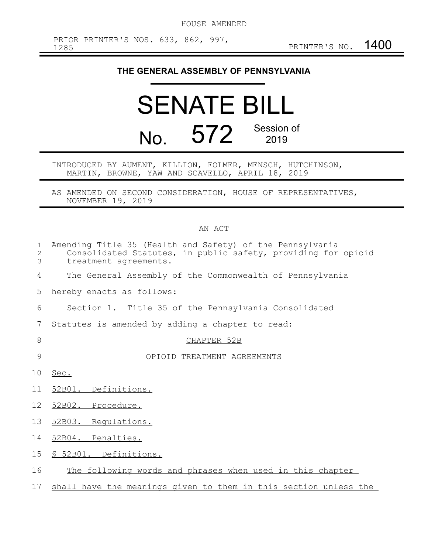## **THE GENERAL ASSEMBLY OF PENNSYLVANIA**

## SENATE BILL No. 572 Session of

INTRODUCED BY AUMENT, KILLION, FOLMER, MENSCH, HUTCHINSON, MARTIN, BROWNE, YAW AND SCAVELLO, APRIL 18, 2019

AS AMENDED ON SECOND CONSIDERATION, HOUSE OF REPRESENTATIVES, NOVEMBER 19, 2019

## AN ACT

| $\mathbf{1}$<br>2<br>3 | Amending Title 35 (Health and Safety) of the Pennsylvania<br>Consolidated Statutes, in public safety, providing for opioid<br>treatment agreements. |
|------------------------|-----------------------------------------------------------------------------------------------------------------------------------------------------|
| 4                      | The General Assembly of the Commonwealth of Pennsylvania                                                                                            |
| 5                      | hereby enacts as follows:                                                                                                                           |
| 6                      | Section 1. Title 35 of the Pennsylvania Consolidated                                                                                                |
| 7                      | Statutes is amended by adding a chapter to read:                                                                                                    |
| 8                      | CHAPTER 52B                                                                                                                                         |
| 9                      | OPIOID TREATMENT AGREEMENTS                                                                                                                         |
| 10                     | Sec.                                                                                                                                                |
| 11                     | 52B01. Definitions.                                                                                                                                 |
| 12                     | 52B02. Procedure.                                                                                                                                   |
| 13                     | 52B03. Regulations.                                                                                                                                 |
| 14                     | 52B04. Penalties.                                                                                                                                   |
| 15 <sub>2</sub>        | <u>S 52B01. Definitions.</u>                                                                                                                        |
| 16                     | The following words and phrases when used in this chapter                                                                                           |
| 17                     | shall have the meanings given to them in this section unless the                                                                                    |
|                        |                                                                                                                                                     |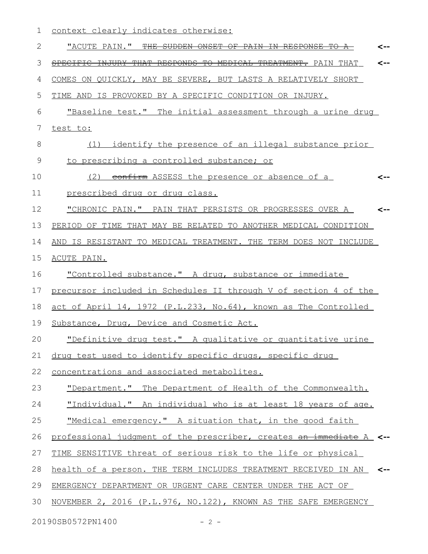| 1           | context clearly indicates otherwise:                                                                 |
|-------------|------------------------------------------------------------------------------------------------------|
| 2           | "ACUTE PAIN." THE SUDDEN ONSET OF PAIN IN RESPONSE                                                   |
| 3           | SPECIFIC INJURY THAT RESPONDS<br>一平分<br><del>MEDICAL</del><br><del>TREATMENT.</del> PAIN THAT<br><-- |
| 4           | COMES ON QUICKLY, MAY BE SEVERE, BUT LASTS A RELATIVELY SHORT                                        |
| 5           | TIME AND IS PROVOKED BY A SPECIFIC CONDITION OR INJURY.                                              |
| 6           | "Baseline test." The initial assessment through a urine drug                                         |
| 7           | test to:                                                                                             |
| 8           | (1) identify the presence of an illegal substance prior                                              |
| $\mathsf 9$ | to prescribing a controlled substance; or                                                            |
| 10          | confirm ASSESS the presence or absence of a<br>(2)                                                   |
| 11          | prescribed drug or drug class.                                                                       |
| 12          | "CHRONIC PAIN." PAIN THAT PERSISTS OR PROGRESSES OVER A<br><--                                       |
| 13          | PERIOD OF TIME THAT MAY BE RELATED TO ANOTHER MEDICAL CONDITION                                      |
| 14          | AND IS RESISTANT TO MEDICAL TREATMENT. THE TERM DOES NOT INCLUDE                                     |
| 15          | ACUTE PAIN.                                                                                          |
| 16          | "Controlled substance." A drug, substance or immediate                                               |
| 17          | precursor included in Schedules II through V of section 4 of the                                     |
| 18          | act of April 14, 1972 (P.L.233, No.64), known as The Controlled                                      |
| 19          | Substance, Drug, Device and Cosmetic Act.                                                            |
| 20          | "Definitive drug test." A qualitative or quantitative urine                                          |
| 21          | drug test used to identify specific drugs, specific drug                                             |
| 22          | concentrations and associated metabolites.                                                           |
| 23          | "Department." The Department of Health of the Commonwealth.                                          |
| 24          | "Individual." An individual who is at least 18 years of age.                                         |
| 25          | "Medical emergency." A situation that, in the good faith                                             |
| 26          | professional judgment of the prescriber, creates an immediate A <--                                  |
| 27          | TIME SENSITIVE threat of serious risk to the life or physical                                        |
| 28          | health of a person. THE TERM INCLUDES TREATMENT RECEIVED IN AN <--                                   |
| 29          | EMERGENCY DEPARTMENT OR URGENT CARE CENTER UNDER THE ACT OF                                          |
| 30          | NOVEMBER 2, 2016 (P.L.976, NO.122), KNOWN AS THE SAFE EMERGENCY                                      |
|             |                                                                                                      |

20190SB0572PN1400 - 2 -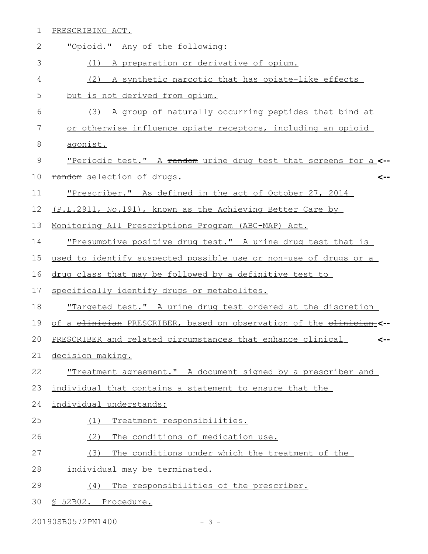| $\mathbf 1$ | PRESCRIBING ACT.                                                     |
|-------------|----------------------------------------------------------------------|
| 2           | "Opioid." Any of the following:                                      |
| 3           | A preparation or derivative of opium.<br>(1)                         |
| 4           | A synthetic narcotic that has opiate-like effects<br>(2)             |
| 5           | but is not derived from opium.                                       |
| 6           | A group of naturally occurring peptides that bind at<br>(3)          |
| 7           | or otherwise influence opiate receptors, including an opioid         |
| 8           | agonist.                                                             |
| 9           | "Periodic test." A random urine drug test that screens for a <--     |
| 10          | random selection of drugs.<br><--                                    |
| 11          | "Prescriber." As defined in the act of October 27, 2014              |
| 12          | (P.L.2911, No.191), known as the Achieving Better Care by            |
| 13          | Monitoring All Prescriptions Program (ABC-MAP) Act.                  |
| 14          | <u>"Presumptive positive drug test." A urine drug test that is</u>   |
| 15          | used to identify suspected possible use or non-use of drugs or a     |
| 16          | drug class that may be followed by a definitive test to              |
| 17          | specifically identify drugs or metabolites.                          |
| 18          | "Targeted test." A urine drug test ordered at the discretion         |
| 19          | of a elinician PRESCRIBER, based on observation of the elinician-<-- |
| 20          | PRESCRIBER and related circumstances that enhance clinical<br><--    |
| 21          | decision making.                                                     |
| 22          | "Treatment agreement." A document signed by a prescriber and         |
| 23          | individual that contains a statement to ensure that the              |
| 24          | individual understands:                                              |
| 25          | Treatment responsibilities.<br>(1)                                   |
| 26          | The conditions of medication use.<br>(2)                             |
| 27          | (3)<br>The conditions under which the treatment of the               |
| 28          | individual may be terminated.                                        |
| 29          | The responsibilities of the prescriber.<br>(4)                       |
| 30          | § 52B02. Procedure.                                                  |

20190SB0572PN1400 - 3 -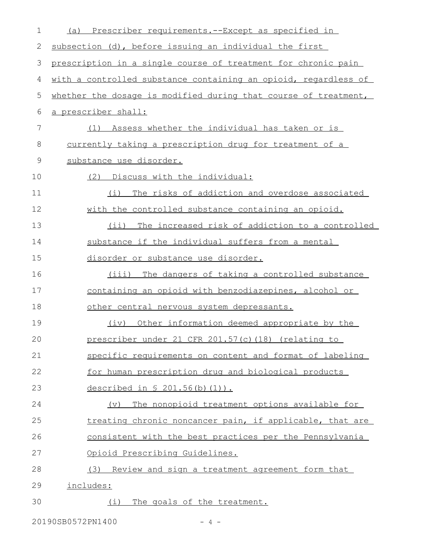| 1  | Prescriber requirements. -- Except as specified in<br>(a)       |
|----|-----------------------------------------------------------------|
| 2  | subsection (d), before issuing an individual the first          |
| 3  | prescription in a single course of treatment for chronic pain   |
| 4  | with a controlled substance containing an opioid, regardless of |
| 5  | whether the dosage is modified during that course of treatment, |
| 6  | a prescriber shall:                                             |
| 7  | Assess whether the individual has taken or is<br>(1)            |
| 8  | currently taking a prescription drug for treatment of a         |
| 9  | substance use disorder.                                         |
| 10 | (2) Discuss with the individual:                                |
| 11 | The risks of addiction and overdose associated<br>(i)           |
| 12 | with the controlled substance containing an opioid.             |
| 13 | (ii) The increased risk of addiction to a controlled            |
| 14 | substance if the individual suffers from a mental               |
| 15 | disorder or substance use disorder.                             |
| 16 | (iii) The dangers of taking a controlled substance              |
| 17 | containing an opioid with benzodiazepines, alcohol or           |
| 18 | other central nervous system depressants.                       |
| 19 | Other information deemed appropriate by the<br>(iv)             |
| 20 | prescriber under 21 CFR 201.57(c) (18) (relating to             |
| 21 | specific requirements on content and format of labeling         |
| 22 | for human prescription drug and biological products             |
| 23 | described in § 201.56(b)(1)).                                   |
| 24 | The nonopioid treatment options available for<br>(v)            |
| 25 | treating chronic noncancer pain, if applicable, that are        |
| 26 | consistent with the best practices per the Pennsylvania         |
| 27 | <u>Opioid Prescribing Guidelines.</u>                           |
| 28 | (3) Review and sign a treatment agreement form that             |
| 29 | includes:                                                       |
| 30 | The goals of the treatment.<br>(i)                              |

20190SB0572PN1400 - 4 -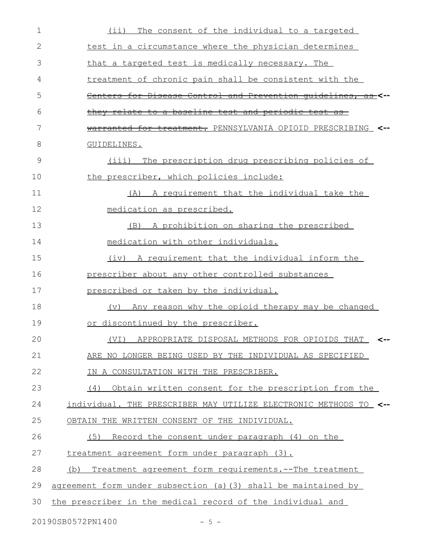| $\mathbf 1$ | The consent of the individual to a targeted<br>(i)               |
|-------------|------------------------------------------------------------------|
| 2           | test in a circumstance where the physician determines            |
| 3           | that a targeted test is medically necessary. The                 |
| 4           | treatment of chronic pain shall be consistent with the           |
| 5           | Centers for Disease Control and Prevention quidelines, as <--    |
| 6           | they relate to a baseline test and periodic test                 |
| 7           | warranted for treatment. PENNSYLVANIA OPIOID PRESCRIBING <--     |
| 8           | GUIDELINES.                                                      |
| 9           | The prescription drug prescribing policies of<br>(iii)           |
| 10          | the prescriber, which policies include:                          |
| 11          | A requirement that the individual take the<br>(A)                |
| 12          | medication as prescribed.                                        |
| 13          | (B) A prohibition on sharing the prescribed                      |
| 14          | medication with other individuals.                               |
| 15          | (iv) A requirement that the individual inform the                |
| 16          | prescriber about any other controlled substances                 |
| 17          | prescribed or taken by the individual.                           |
| 18          | (v) Any reason why the opioid therapy may be changed             |
| 19          | or discontinued by the prescriber.                               |
| 20          | (VI) APPROPRIATE DISPOSAL METHODS FOR OPIOIDS THAT               |
| 21          | ARE NO LONGER BEING USED BY THE INDIVIDUAL AS SPECIFIED          |
| 22          | IN A CONSULTATION WITH THE PRESCRIBER.                           |
| 23          | (4) Obtain written consent for the prescription from the         |
| 24          | individual. THE PRESCRIBER MAY UTILIZE ELECTRONIC METHODS TO <-- |
| 25          | OBTAIN THE WRITTEN CONSENT OF THE INDIVIDUAL.                    |
| 26          | (5) Record the consent under paragraph (4) on the                |
| 27          | treatment agreement form under paragraph (3).                    |
| 28          | Treatment agreement form requirements. -- The treatment<br>(b)   |
| 29          | agreement form under subsection (a) (3) shall be maintained by   |
| 30          | the prescriber in the medical record of the individual and       |
|             | 20190SB0572PN1400<br>$-5 -$                                      |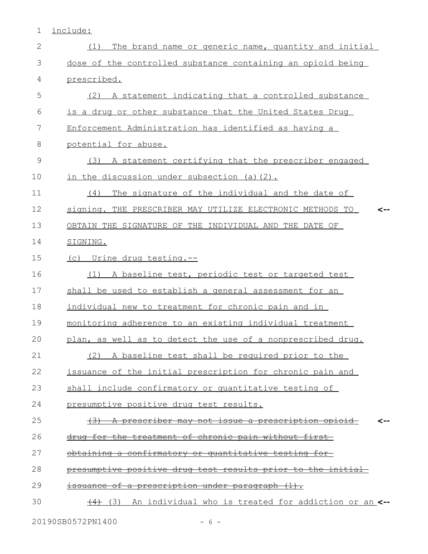1 include:

| $\mathbf{2}$ | The brand name or generic name, quantity and initial<br>(1) |
|--------------|-------------------------------------------------------------|
| 3            | dose of the controlled substance containing an opioid being |
| 4            | prescribed.                                                 |
| 5            | (2) A statement indicating that a controlled substance      |
| 6            | is a drug or other substance that the United States Drug    |
| 7            | Enforcement Administration has identified as having a       |
| 8            | potential for abuse.                                        |
| 9            | (3) A statement certifying that the prescriber engaged      |
| 10           | in the discussion under subsection (a)(2).                  |
| 11           | The signature of the individual and the date of<br>(4)      |
| 12           | signing. THE PRESCRIBER MAY UTILIZE ELECTRONIC METHODS TO   |
| 13           | OBTAIN THE SIGNATURE OF THE INDIVIDUAL AND THE DATE OF      |
| 14           | SIGNING.                                                    |
| 15           | (c) Urine drug testing.--                                   |
| 16           | (1) A baseline test, periodic test or targeted test         |
| 17           | shall be used to establish a general assessment for an      |
| 18           | individual new to treatment for chronic pain and in         |
| 19           | monitoring adherence to an existing individual treatment    |
| 20           | plan, as well as to detect the use of a nonprescribed drug. |
| 21           | (2) A baseline test shall be required prior to the          |
| 22           | issuance of the initial prescription for chronic pain and   |
| 23           | shall include confirmatory or quantitative testing of       |
| 24           | presumptive positive drug test results.                     |
| 25           | (3) A prescriber may not issue a prescription opioid<br><-- |
| 26           | drug for the treatment of chronic pain without first-       |
| 27           | obtaining a confirmatory or quantitative testing for        |
| 28           | presumptive positive drug test results prior to the initial |
| 29           | issuance of a prescription under paragraph (1).             |
| 30           | (3) An individual who is treated for addiction or an <--    |
|              |                                                             |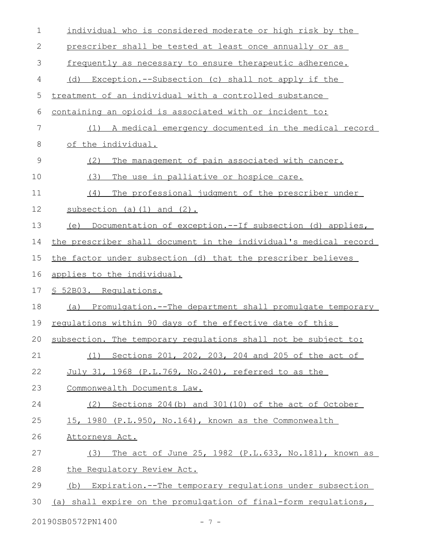| 1             | individual who is considered moderate or high risk by the         |
|---------------|-------------------------------------------------------------------|
| 2             | prescriber shall be tested at least once annually or as           |
| 3             | frequently as necessary to ensure therapeutic adherence.          |
| 4             | Exception.--Subsection (c) shall not apply if the<br>(d)          |
| 5             | treatment of an individual with a controlled substance            |
| 6             | containing an opioid is associated with or incident to:           |
| 7             | A medical emergency documented in the medical record<br>(1)       |
| 8             | of the individual.                                                |
| $\mathcal{G}$ | (2)<br>The management of pain associated with cancer.             |
| 10            | (3)<br>The use in palliative or hospice care.                     |
| 11            | (4)<br>The professional judgment of the prescriber under          |
| 12            | $subsection$ (a) (1) and (2).                                     |
| 13            | (e) Documentation of exception.--If subsection (d) applies,       |
| 14            | the prescriber shall document in the individual's medical record  |
| 15            | the factor under subsection (d) that the prescriber believes      |
| 16            | applies to the individual.                                        |
|               | § 52B03. Requlations.                                             |
| 17            |                                                                   |
| 18            | (a) Promulgation.--The department shall promulgate temporary      |
| 19            | regulations within 90 days of the effective date of this          |
|               | 20 subsection. The temporary requlations shall not be subject to: |
| 21            | (1) Sections 201, 202, 203, 204 and 205 of the act of             |
| 22            | July 31, 1968 (P.L.769, No.240), referred to as the               |
| 23            | Commonwealth Documents Law.                                       |
| 24            | Sections 204 (b) and 301 (10) of the act of October<br>(2)        |
| 25            | 15, 1980 (P.L.950, No.164), known as the Commonwealth             |
| 26            | Attorneys Act.                                                    |
| 27            | The act of June 25, 1982 (P.L.633, No.181), known as<br>(3)       |
| 28            | the Regulatory Review Act.                                        |
| 29            | (b) Expiration.--The temporary regulations under subsection       |